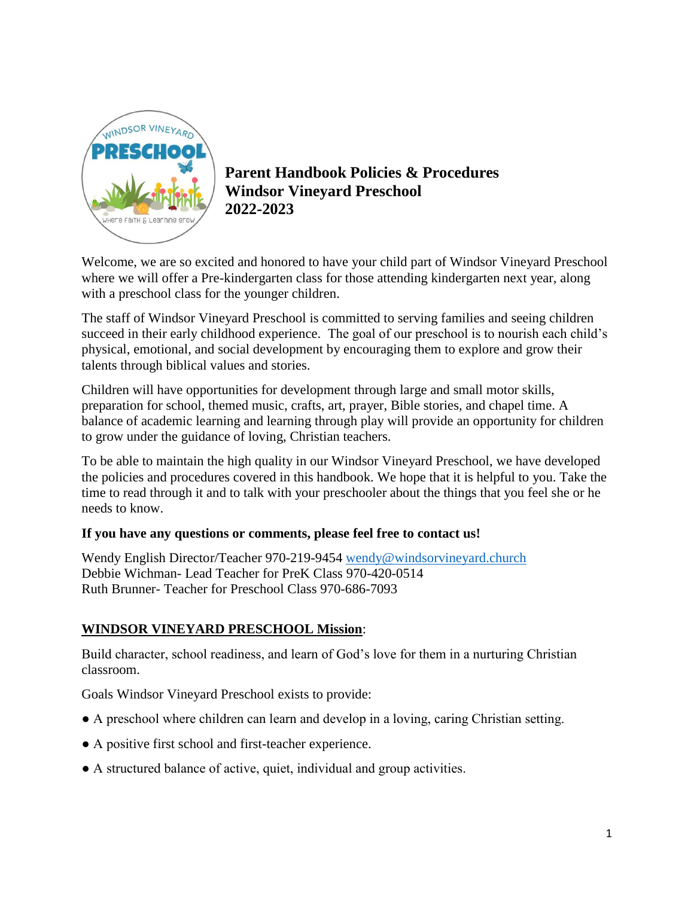

**Parent Handbook Policies & Procedures Windsor Vineyard Preschool 2022-2023**

Welcome, we are so excited and honored to have your child part of Windsor Vineyard Preschool where we will offer a Pre-kindergarten class for those attending kindergarten next year, along with a preschool class for the younger children.

The staff of Windsor Vineyard Preschool is committed to serving families and seeing children succeed in their early childhood experience. The goal of our preschool is to nourish each child's physical, emotional, and social development by encouraging them to explore and grow their talents through biblical values and stories.

Children will have opportunities for development through large and small motor skills, preparation for school, themed music, crafts, art, prayer, Bible stories, and chapel time. A balance of academic learning and learning through play will provide an opportunity for children to grow under the guidance of loving, Christian teachers.

To be able to maintain the high quality in our Windsor Vineyard Preschool, we have developed the policies and procedures covered in this handbook. We hope that it is helpful to you. Take the time to read through it and to talk with your preschooler about the things that you feel she or he needs to know.

## **If you have any questions or comments, please feel free to contact us!**

Wendy English Director/Teacher 970-219-9454 [wendy@windsorvineyard.church](mailto:wendy@windsorvineyard.church) Debbie Wichman- Lead Teacher for PreK Class 970-420-0514 Ruth Brunner- Teacher for Preschool Class 970-686-7093

## **WINDSOR VINEYARD PRESCHOOL Mission**:

Build character, school readiness, and learn of God's love for them in a nurturing Christian classroom.

Goals Windsor Vineyard Preschool exists to provide:

- A preschool where children can learn and develop in a loving, caring Christian setting.
- A positive first school and first-teacher experience.
- A structured balance of active, quiet, individual and group activities.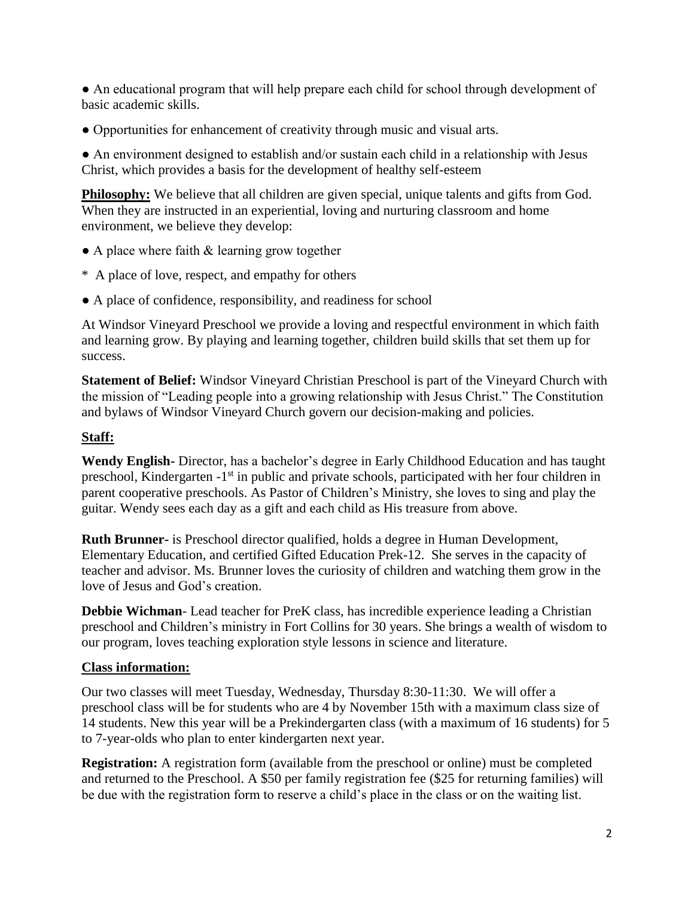● An educational program that will help prepare each child for school through development of basic academic skills.

● Opportunities for enhancement of creativity through music and visual arts.

● An environment designed to establish and/or sustain each child in a relationship with Jesus Christ, which provides a basis for the development of healthy self-esteem

**Philosophy:** We believe that all children are given special, unique talents and gifts from God. When they are instructed in an experiential, loving and nurturing classroom and home environment, we believe they develop:

- A place where faith & learning grow together
- \* A place of love, respect, and empathy for others
- A place of confidence, responsibility, and readiness for school

At Windsor Vineyard Preschool we provide a loving and respectful environment in which faith and learning grow. By playing and learning together, children build skills that set them up for success.

**Statement of Belief:** Windsor Vineyard Christian Preschool is part of the Vineyard Church with the mission of "Leading people into a growing relationship with Jesus Christ." The Constitution and bylaws of Windsor Vineyard Church govern our decision-making and policies.

## **Staff:**

**Wendy English-** Director, has a bachelor's degree in Early Childhood Education and has taught preschool, Kindergarten -1<sup>st</sup> in public and private schools, participated with her four children in parent cooperative preschools. As Pastor of Children's Ministry, she loves to sing and play the guitar. Wendy sees each day as a gift and each child as His treasure from above.

**Ruth Brunner-** is Preschool director qualified, holds a degree in Human Development, Elementary Education, and certified Gifted Education Prek-12. She serves in the capacity of teacher and advisor. Ms. Brunner loves the curiosity of children and watching them grow in the love of Jesus and God's creation.

**Debbie Wichman**- Lead teacher for PreK class, has incredible experience leading a Christian preschool and Children's ministry in Fort Collins for 30 years. She brings a wealth of wisdom to our program, loves teaching exploration style lessons in science and literature.

#### **Class information:**

Our two classes will meet Tuesday, Wednesday, Thursday 8:30-11:30. We will offer a preschool class will be for students who are 4 by November 15th with a maximum class size of 14 students. New this year will be a Prekindergarten class (with a maximum of 16 students) for 5 to 7-year-olds who plan to enter kindergarten next year.

**Registration:** A registration form (available from the preschool or online) must be completed and returned to the Preschool. A \$50 per family registration fee (\$25 for returning families) will be due with the registration form to reserve a child's place in the class or on the waiting list.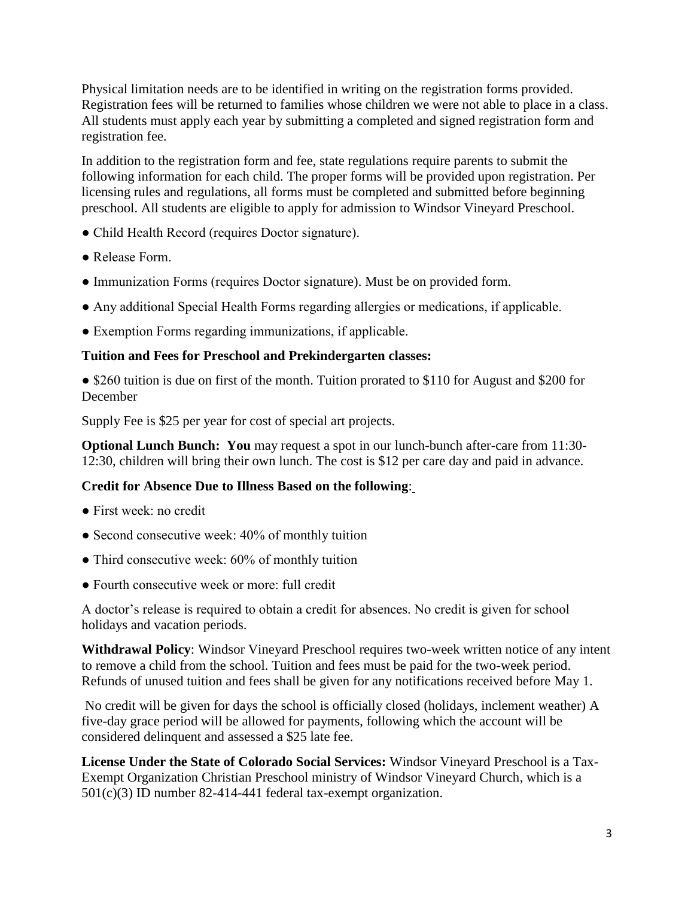Physical limitation needs are to be identified in writing on the registration forms provided. Registration fees will be returned to families whose children we were not able to place in a class. All students must apply each year by submitting a completed and signed registration form and registration fee.

In addition to the registration form and fee, state regulations require parents to submit the following information for each child. The proper forms will be provided upon registration. Per licensing rules and regulations, all forms must be completed and submitted before beginning preschool. All students are eligible to apply for admission to Windsor Vineyard Preschool.

- Child Health Record (requires Doctor signature).
- Release Form.
- Immunization Forms (requires Doctor signature). Must be on provided form.
- Any additional Special Health Forms regarding allergies or medications, if applicable.
- Exemption Forms regarding immunizations, if applicable.

#### **Tuition and Fees for Preschool and Prekindergarten classes:**

• \$260 tuition is due on first of the month. Tuition prorated to \$110 for August and \$200 for December

Supply Fee is \$25 per year for cost of special art projects.

**Optional Lunch Bunch: You** may request a spot in our lunch-bunch after-care from 11:30- 12:30, children will bring their own lunch. The cost is \$12 per care day and paid in advance.

#### **Credit for Absence Due to Illness Based on the following**:

- First week: no credit
- Second consecutive week: 40% of monthly tuition
- Third consecutive week: 60% of monthly tuition
- Fourth consecutive week or more: full credit

A doctor's release is required to obtain a credit for absences. No credit is given for school holidays and vacation periods.

**Withdrawal Policy**: Windsor Vineyard Preschool requires two-week written notice of any intent to remove a child from the school. Tuition and fees must be paid for the two-week period. Refunds of unused tuition and fees shall be given for any notifications received before May 1.

No credit will be given for days the school is officially closed (holidays, inclement weather) A five-day grace period will be allowed for payments, following which the account will be considered delinquent and assessed a \$25 late fee.

**License Under the State of Colorado Social Services:** Windsor Vineyard Preschool is a Tax-Exempt Organization Christian Preschool ministry of Windsor Vineyard Church, which is a 501(c)(3) ID number 82-414-441 federal tax-exempt organization.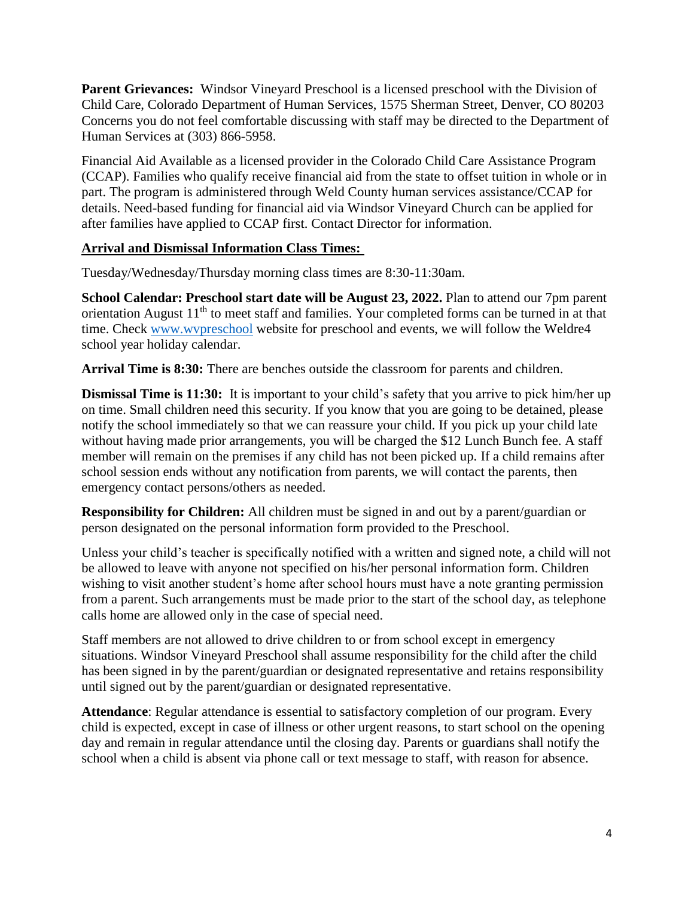**Parent Grievances:** Windsor Vineyard Preschool is a licensed preschool with the Division of Child Care, Colorado Department of Human Services, 1575 Sherman Street, Denver, CO 80203 Concerns you do not feel comfortable discussing with staff may be directed to the Department of Human Services at (303) 866-5958.

Financial Aid Available as a licensed provider in the Colorado Child Care Assistance Program (CCAP). Families who qualify receive financial aid from the state to offset tuition in whole or in part. The program is administered through Weld County human services assistance/CCAP for details. Need-based funding for financial aid via Windsor Vineyard Church can be applied for after families have applied to CCAP first. Contact Director for information.

#### **Arrival and Dismissal Information Class Times:**

Tuesday/Wednesday/Thursday morning class times are 8:30-11:30am.

**School Calendar: Preschool start date will be August 23, 2022.** Plan to attend our 7pm parent orientation August  $11<sup>th</sup>$  to meet staff and families. Your completed forms can be turned in at that time. Check [www.wvpreschool](http://www.wvpreschool/) website for preschool and events, we will follow the Weldre4 school year holiday calendar.

**Arrival Time is 8:30:** There are benches outside the classroom for parents and children.

**Dismissal Time is 11:30:** It is important to your child's safety that you arrive to pick him/her up on time. Small children need this security. If you know that you are going to be detained, please notify the school immediately so that we can reassure your child. If you pick up your child late without having made prior arrangements, you will be charged the \$12 Lunch Bunch fee. A staff member will remain on the premises if any child has not been picked up. If a child remains after school session ends without any notification from parents, we will contact the parents, then emergency contact persons/others as needed.

**Responsibility for Children:** All children must be signed in and out by a parent/guardian or person designated on the personal information form provided to the Preschool.

Unless your child's teacher is specifically notified with a written and signed note, a child will not be allowed to leave with anyone not specified on his/her personal information form. Children wishing to visit another student's home after school hours must have a note granting permission from a parent. Such arrangements must be made prior to the start of the school day, as telephone calls home are allowed only in the case of special need.

Staff members are not allowed to drive children to or from school except in emergency situations. Windsor Vineyard Preschool shall assume responsibility for the child after the child has been signed in by the parent/guardian or designated representative and retains responsibility until signed out by the parent/guardian or designated representative.

**Attendance**: Regular attendance is essential to satisfactory completion of our program. Every child is expected, except in case of illness or other urgent reasons, to start school on the opening day and remain in regular attendance until the closing day. Parents or guardians shall notify the school when a child is absent via phone call or text message to staff, with reason for absence.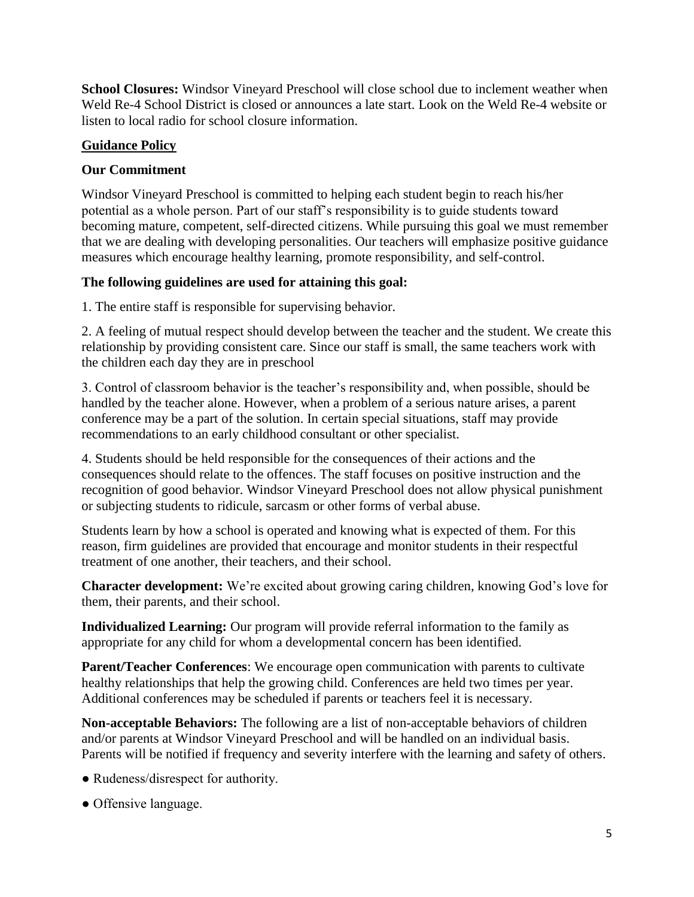**School Closures:** Windsor Vineyard Preschool will close school due to inclement weather when Weld Re-4 School District is closed or announces a late start. Look on the Weld Re-4 website or listen to local radio for school closure information.

## **Guidance Policy**

# **Our Commitment**

Windsor Vineyard Preschool is committed to helping each student begin to reach his/her potential as a whole person. Part of our staff's responsibility is to guide students toward becoming mature, competent, self-directed citizens. While pursuing this goal we must remember that we are dealing with developing personalities. Our teachers will emphasize positive guidance measures which encourage healthy learning, promote responsibility, and self-control.

# **The following guidelines are used for attaining this goal:**

1. The entire staff is responsible for supervising behavior.

2. A feeling of mutual respect should develop between the teacher and the student. We create this relationship by providing consistent care. Since our staff is small, the same teachers work with the children each day they are in preschool

3. Control of classroom behavior is the teacher's responsibility and, when possible, should be handled by the teacher alone. However, when a problem of a serious nature arises, a parent conference may be a part of the solution. In certain special situations, staff may provide recommendations to an early childhood consultant or other specialist.

4. Students should be held responsible for the consequences of their actions and the consequences should relate to the offences. The staff focuses on positive instruction and the recognition of good behavior. Windsor Vineyard Preschool does not allow physical punishment or subjecting students to ridicule, sarcasm or other forms of verbal abuse.

Students learn by how a school is operated and knowing what is expected of them. For this reason, firm guidelines are provided that encourage and monitor students in their respectful treatment of one another, their teachers, and their school.

**Character development:** We're excited about growing caring children, knowing God's love for them, their parents, and their school.

**Individualized Learning:** Our program will provide referral information to the family as appropriate for any child for whom a developmental concern has been identified.

**Parent/Teacher Conferences**: We encourage open communication with parents to cultivate healthy relationships that help the growing child. Conferences are held two times per year. Additional conferences may be scheduled if parents or teachers feel it is necessary.

**Non-acceptable Behaviors:** The following are a list of non-acceptable behaviors of children and/or parents at Windsor Vineyard Preschool and will be handled on an individual basis. Parents will be notified if frequency and severity interfere with the learning and safety of others.

- Rudeness/disrespect for authority.
- Offensive language.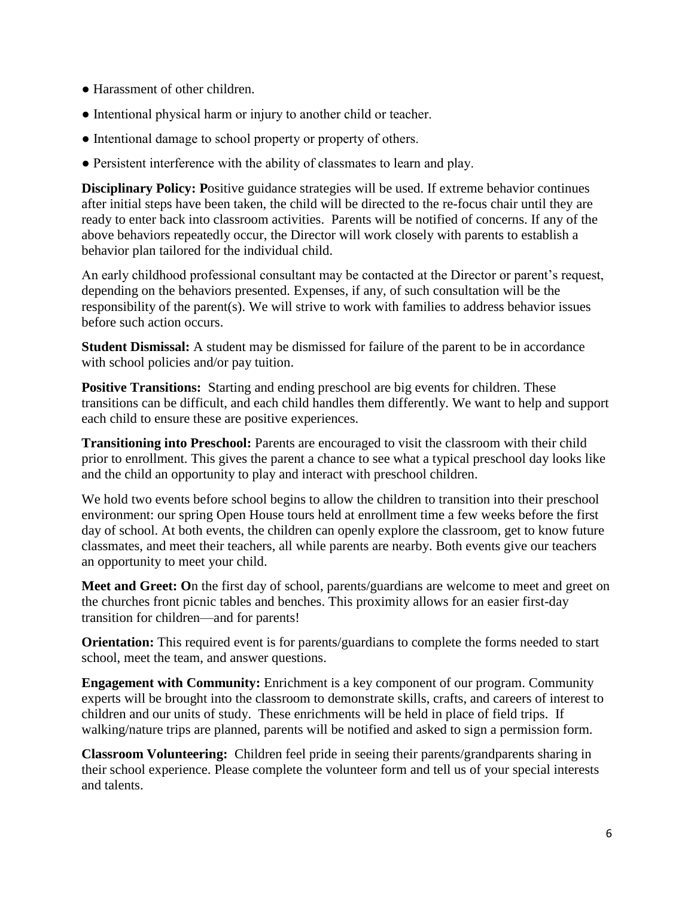- Harassment of other children.
- Intentional physical harm or injury to another child or teacher.
- Intentional damage to school property or property of others.
- Persistent interference with the ability of classmates to learn and play.

**Disciplinary Policy:** Positive guidance strategies will be used. If extreme behavior continues after initial steps have been taken, the child will be directed to the re-focus chair until they are ready to enter back into classroom activities. Parents will be notified of concerns. If any of the above behaviors repeatedly occur, the Director will work closely with parents to establish a behavior plan tailored for the individual child.

An early childhood professional consultant may be contacted at the Director or parent's request, depending on the behaviors presented. Expenses, if any, of such consultation will be the responsibility of the parent(s). We will strive to work with families to address behavior issues before such action occurs.

**Student Dismissal:** A student may be dismissed for failure of the parent to be in accordance with school policies and/or pay tuition.

**Positive Transitions:** Starting and ending preschool are big events for children. These transitions can be difficult, and each child handles them differently. We want to help and support each child to ensure these are positive experiences.

**Transitioning into Preschool:** Parents are encouraged to visit the classroom with their child prior to enrollment. This gives the parent a chance to see what a typical preschool day looks like and the child an opportunity to play and interact with preschool children.

We hold two events before school begins to allow the children to transition into their preschool environment: our spring Open House tours held at enrollment time a few weeks before the first day of school. At both events, the children can openly explore the classroom, get to know future classmates, and meet their teachers, all while parents are nearby. Both events give our teachers an opportunity to meet your child.

**Meet and Greet: O**n the first day of school, parents/guardians are welcome to meet and greet on the churches front picnic tables and benches. This proximity allows for an easier first-day transition for children—and for parents!

**Orientation:** This required event is for parents/guardians to complete the forms needed to start school, meet the team, and answer questions.

**Engagement with Community:** Enrichment is a key component of our program. Community experts will be brought into the classroom to demonstrate skills, crafts, and careers of interest to children and our units of study. These enrichments will be held in place of field trips. If walking/nature trips are planned, parents will be notified and asked to sign a permission form.

**Classroom Volunteering:** Children feel pride in seeing their parents/grandparents sharing in their school experience. Please complete the volunteer form and tell us of your special interests and talents.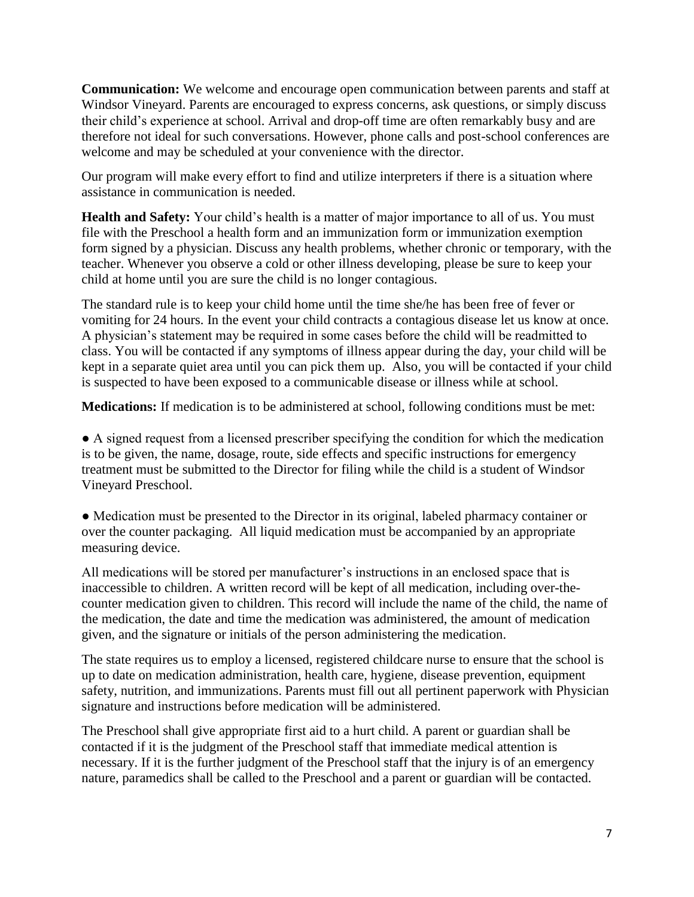**Communication:** We welcome and encourage open communication between parents and staff at Windsor Vineyard. Parents are encouraged to express concerns, ask questions, or simply discuss their child's experience at school. Arrival and drop-off time are often remarkably busy and are therefore not ideal for such conversations. However, phone calls and post-school conferences are welcome and may be scheduled at your convenience with the director.

Our program will make every effort to find and utilize interpreters if there is a situation where assistance in communication is needed.

**Health and Safety:** Your child's health is a matter of major importance to all of us. You must file with the Preschool a health form and an immunization form or immunization exemption form signed by a physician. Discuss any health problems, whether chronic or temporary, with the teacher. Whenever you observe a cold or other illness developing, please be sure to keep your child at home until you are sure the child is no longer contagious.

The standard rule is to keep your child home until the time she/he has been free of fever or vomiting for 24 hours. In the event your child contracts a contagious disease let us know at once. A physician's statement may be required in some cases before the child will be readmitted to class. You will be contacted if any symptoms of illness appear during the day, your child will be kept in a separate quiet area until you can pick them up. Also, you will be contacted if your child is suspected to have been exposed to a communicable disease or illness while at school.

**Medications:** If medication is to be administered at school, following conditions must be met:

● A signed request from a licensed prescriber specifying the condition for which the medication is to be given, the name, dosage, route, side effects and specific instructions for emergency treatment must be submitted to the Director for filing while the child is a student of Windsor Vineyard Preschool.

● Medication must be presented to the Director in its original, labeled pharmacy container or over the counter packaging. All liquid medication must be accompanied by an appropriate measuring device.

All medications will be stored per manufacturer's instructions in an enclosed space that is inaccessible to children. A written record will be kept of all medication, including over-thecounter medication given to children. This record will include the name of the child, the name of the medication, the date and time the medication was administered, the amount of medication given, and the signature or initials of the person administering the medication.

The state requires us to employ a licensed, registered childcare nurse to ensure that the school is up to date on medication administration, health care, hygiene, disease prevention, equipment safety, nutrition, and immunizations. Parents must fill out all pertinent paperwork with Physician signature and instructions before medication will be administered.

The Preschool shall give appropriate first aid to a hurt child. A parent or guardian shall be contacted if it is the judgment of the Preschool staff that immediate medical attention is necessary. If it is the further judgment of the Preschool staff that the injury is of an emergency nature, paramedics shall be called to the Preschool and a parent or guardian will be contacted.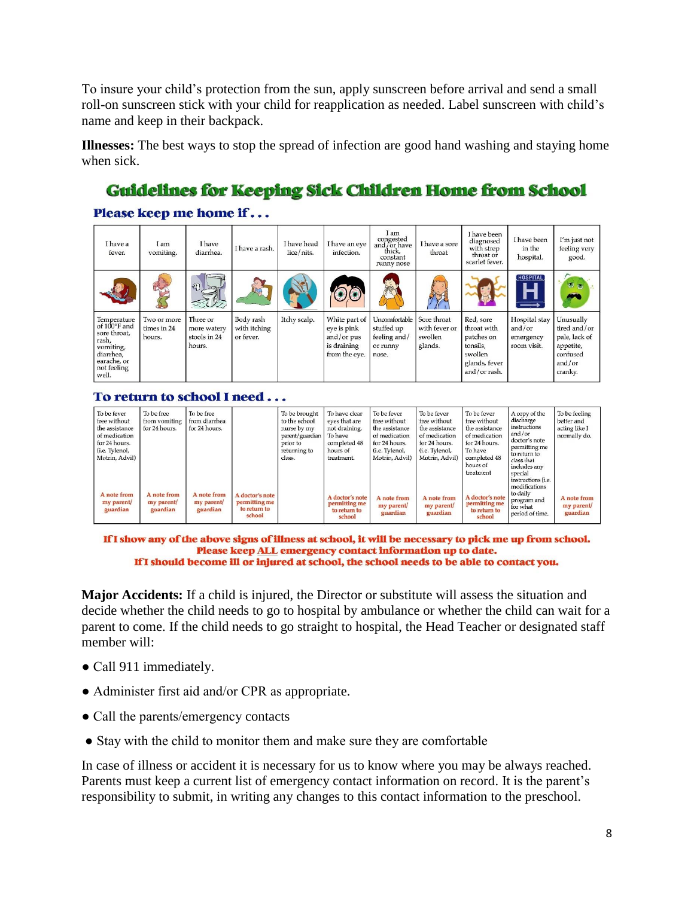To insure your child's protection from the sun, apply sunscreen before arrival and send a small roll-on sunscreen stick with your child for reapplication as needed. Label sunscreen with child's name and keep in their backpack.

**Illnesses:** The best ways to stop the spread of infection are good hand washing and staying home when sick.

# **Guidelines for Keeping Sick Children Home from School**

### Please keep me home if...

| I have a<br>fever.                                                                                                    | I am<br>vomiting.                    | <b>I</b> have<br>diarrhea.                        | I have a rash.                         | I have head<br>lice/nits. | I have an eve<br>infection.                                                  | I am<br>congested<br>and for have<br>thick.<br>constant<br>runny nose | I have a sore<br>throat                            | I have been<br>diagnosed<br>with strep<br>throat or<br>scarlet fever.                          | I have been<br>in the<br>hospital.                  | I'm just not<br>feeling very<br>good.                                                    |
|-----------------------------------------------------------------------------------------------------------------------|--------------------------------------|---------------------------------------------------|----------------------------------------|---------------------------|------------------------------------------------------------------------------|-----------------------------------------------------------------------|----------------------------------------------------|------------------------------------------------------------------------------------------------|-----------------------------------------------------|------------------------------------------------------------------------------------------|
|                                                                                                                       |                                      | $\mathcal{L}$                                     |                                        |                           |                                                                              | $\frac{m}{2}$                                                         |                                                    |                                                                                                | <b>HOSPITAL</b>                                     |                                                                                          |
| Temperature<br>of 100°F and<br>sore throat,<br>rash.<br>vomiting,<br>diarrhea,<br>earache, or<br>not feeling<br>well. | Two or more<br>times in 24<br>hours. | Three or<br>more watery<br>stools in 24<br>hours. | Body rash<br>with itching<br>or fever. | Itchy scalp.              | White part of<br>eye is pink<br>and/or $pus$<br>is draining<br>from the eye. | Uncomfortable<br>stuffed up<br>feeling and/<br>or runny<br>nose.      | Sore throat<br>with fever or<br>swollen<br>glands. | Red, sore<br>throat with<br>patches on<br>tonsils,<br>swollen<br>glands, fever<br>and/or rash. | Hospital stay<br>and/or<br>emergency<br>room visit. | Unusually<br>tired and/or<br>pale, lack of<br>appetite,<br>confused<br>and/or<br>cranky. |

#### To return to school I need...

| To be fever<br>free without<br>the assistance<br>of medication<br>for 24 hours.<br>(i.e. Tylenol,<br>Motrin, Advil) | To be free<br>from vomiting<br>for 24 hours. | To be free<br>from diarrhea<br>for 24 hours. |                                                            | To be brought<br>to the school<br>nurse by my<br>parent/guardian<br>prior to<br>returning to<br>class. | To have clear<br>eyes that are<br>not draining.<br>To have<br>completed 48<br>hours of<br>treatment. | To be fever<br>free without<br>the assistance<br>of medication<br>for 24 hours.<br>(i.e. Tylenol,<br>Motrin, Advil) | To be fever<br>free without<br>the assistance<br>of medication<br>for 24 hours.<br>(i.e. Tylenol.<br>Motrin, Advil) | To be fever<br>free without<br>the assistance<br>of medication<br>for 24 hours.<br>To have<br>completed 48<br>hours of<br>treatment | A copy of the<br>discharge<br>instructions<br>and/or<br>doctor's note<br>permitting me<br>to return to<br>class that<br>includes any<br>special<br>instructions (i.e.<br>modifications<br>to daily | To be feeling<br>better and<br>acting like I<br>normally do. |
|---------------------------------------------------------------------------------------------------------------------|----------------------------------------------|----------------------------------------------|------------------------------------------------------------|--------------------------------------------------------------------------------------------------------|------------------------------------------------------------------------------------------------------|---------------------------------------------------------------------------------------------------------------------|---------------------------------------------------------------------------------------------------------------------|-------------------------------------------------------------------------------------------------------------------------------------|----------------------------------------------------------------------------------------------------------------------------------------------------------------------------------------------------|--------------------------------------------------------------|
| A note from<br>my parent/<br>guardian                                                                               | A note from<br>my parent/<br>guardian        | A note from<br>my parent/<br>guardian        | A doctor's note<br>permitting me<br>to return to<br>school |                                                                                                        | A doctor's note<br>permitting me<br>to return to<br>school                                           | A note from<br>my parent/<br>guardian                                                                               | A note from<br>my parent/<br>guardian                                                                               | A doctor's note<br>permitting me<br>to return to<br>school                                                                          | program and<br>for what<br>period of time.                                                                                                                                                         | A note from<br>my parent/<br>guardian                        |

If I show any of the above signs of illness at school, it will be necessary to pick me up from school. Please keep ALL emergency contact information up to date. If I should become ill or injured at school, the school needs to be able to contact you.

**Major Accidents:** If a child is injured, the Director or substitute will assess the situation and decide whether the child needs to go to hospital by ambulance or whether the child can wait for a parent to come. If the child needs to go straight to hospital, the Head Teacher or designated staff member will:

- Call 911 immediately.
- Administer first aid and/or CPR as appropriate.
- Call the parents/emergency contacts
- Stay with the child to monitor them and make sure they are comfortable

In case of illness or accident it is necessary for us to know where you may be always reached. Parents must keep a current list of emergency contact information on record. It is the parent's responsibility to submit, in writing any changes to this contact information to the preschool.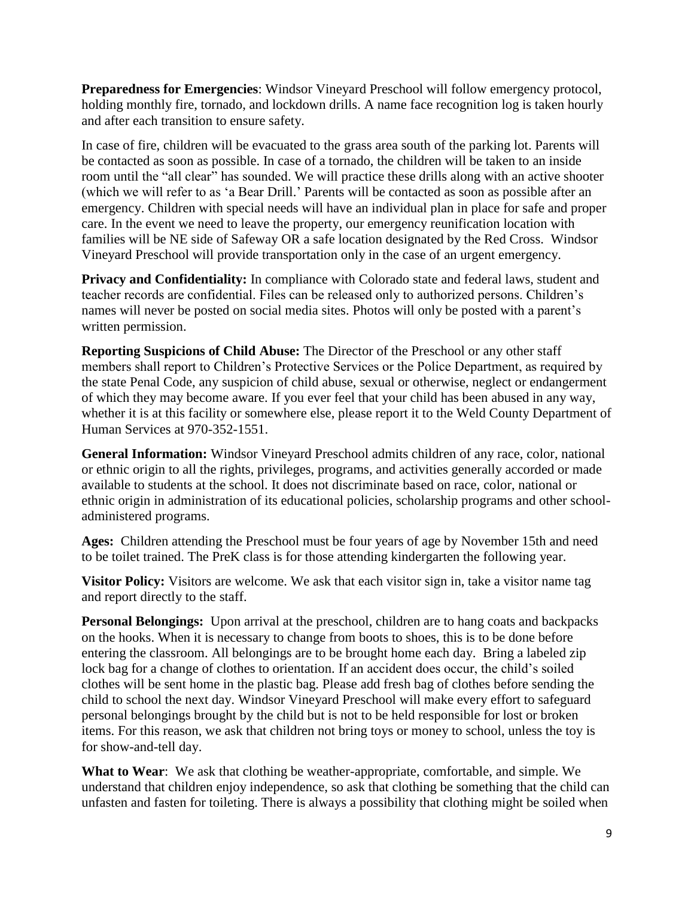**Preparedness for Emergencies**: Windsor Vineyard Preschool will follow emergency protocol, holding monthly fire, tornado, and lockdown drills. A name face recognition log is taken hourly and after each transition to ensure safety.

In case of fire, children will be evacuated to the grass area south of the parking lot. Parents will be contacted as soon as possible. In case of a tornado, the children will be taken to an inside room until the "all clear" has sounded. We will practice these drills along with an active shooter (which we will refer to as 'a Bear Drill.' Parents will be contacted as soon as possible after an emergency. Children with special needs will have an individual plan in place for safe and proper care. In the event we need to leave the property, our emergency reunification location with families will be NE side of Safeway OR a safe location designated by the Red Cross. Windsor Vineyard Preschool will provide transportation only in the case of an urgent emergency.

**Privacy and Confidentiality:** In compliance with Colorado state and federal laws, student and teacher records are confidential. Files can be released only to authorized persons. Children's names will never be posted on social media sites. Photos will only be posted with a parent's written permission.

**Reporting Suspicions of Child Abuse:** The Director of the Preschool or any other staff members shall report to Children's Protective Services or the Police Department, as required by the state Penal Code, any suspicion of child abuse, sexual or otherwise, neglect or endangerment of which they may become aware. If you ever feel that your child has been abused in any way, whether it is at this facility or somewhere else, please report it to the Weld County Department of Human Services at 970-352-1551.

**General Information:** Windsor Vineyard Preschool admits children of any race, color, national or ethnic origin to all the rights, privileges, programs, and activities generally accorded or made available to students at the school. It does not discriminate based on race, color, national or ethnic origin in administration of its educational policies, scholarship programs and other schooladministered programs.

**Ages:** Children attending the Preschool must be four years of age by November 15th and need to be toilet trained. The PreK class is for those attending kindergarten the following year.

**Visitor Policy:** Visitors are welcome. We ask that each visitor sign in, take a visitor name tag and report directly to the staff.

**Personal Belongings:** Upon arrival at the preschool, children are to hang coats and backpacks on the hooks. When it is necessary to change from boots to shoes, this is to be done before entering the classroom. All belongings are to be brought home each day. Bring a labeled zip lock bag for a change of clothes to orientation. If an accident does occur, the child's soiled clothes will be sent home in the plastic bag. Please add fresh bag of clothes before sending the child to school the next day. Windsor Vineyard Preschool will make every effort to safeguard personal belongings brought by the child but is not to be held responsible for lost or broken items. For this reason, we ask that children not bring toys or money to school, unless the toy is for show-and-tell day.

**What to Wear**: We ask that clothing be weather-appropriate, comfortable, and simple. We understand that children enjoy independence, so ask that clothing be something that the child can unfasten and fasten for toileting. There is always a possibility that clothing might be soiled when